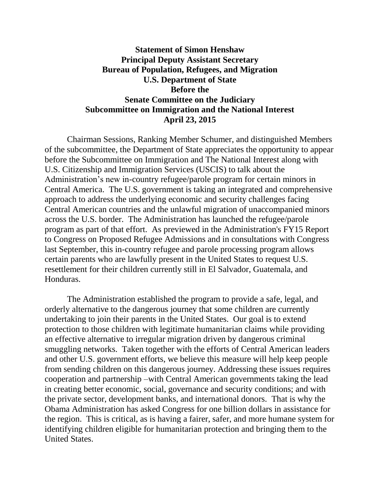## **Statement of Simon Henshaw Principal Deputy Assistant Secretary Bureau of Population, Refugees, and Migration U.S. Department of State Before the Senate Committee on the Judiciary Subcommittee on Immigration and the National Interest April 23, 2015**

Chairman Sessions, Ranking Member Schumer, and distinguished Members of the subcommittee, the Department of State appreciates the opportunity to appear before the Subcommittee on Immigration and The National Interest along with U.S. Citizenship and Immigration Services (USCIS) to talk about the Administration's new in-country refugee/parole program for certain minors in Central America. The U.S. government is taking an integrated and comprehensive approach to address the underlying economic and security challenges facing Central American countries and the unlawful migration of unaccompanied minors across the U.S. border. The Administration has launched the refugee/parole program as part of that effort. As previewed in the Administration's FY15 Report to Congress on Proposed Refugee Admissions and in consultations with Congress last September, this in-country refugee and parole processing program allows certain parents who are lawfully present in the United States to request U.S. resettlement for their children currently still in El Salvador, Guatemala, and Honduras.

The Administration established the program to provide a safe, legal, and orderly alternative to the dangerous journey that some children are currently undertaking to join their parents in the United States. Our goal is to extend protection to those children with legitimate humanitarian claims while providing an effective alternative to irregular migration driven by dangerous criminal smuggling networks. Taken together with the efforts of Central American leaders and other U.S. government efforts, we believe this measure will help keep people from sending children on this dangerous journey. Addressing these issues requires cooperation and partnership –with Central American governments taking the lead in creating better economic, social, governance and security conditions; and with the private sector, development banks, and international donors. That is why the Obama Administration has asked Congress for one billion dollars in assistance for the region. This is critical, as is having a fairer, safer, and more humane system for identifying children eligible for humanitarian protection and bringing them to the United States.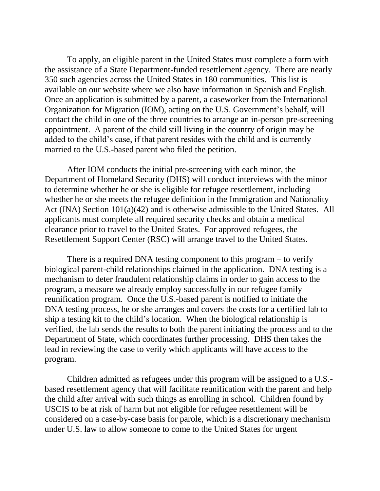To apply, an eligible parent in the United States must complete a form with the assistance of a State Department-funded resettlement agency. There are nearly 350 such agencies across the United States in 180 communities. This list is available on our website where we also have information in Spanish and English. Once an application is submitted by a parent, a caseworker from the International Organization for Migration (IOM), acting on the U.S. Government's behalf, will contact the child in one of the three countries to arrange an in-person pre-screening appointment. A parent of the child still living in the country of origin may be added to the child's case, if that parent resides with the child and is currently married to the U.S.-based parent who filed the petition.

After IOM conducts the initial pre-screening with each minor, the Department of Homeland Security (DHS) will conduct interviews with the minor to determine whether he or she is eligible for refugee resettlement, including whether he or she meets the refugee definition in the Immigration and Nationality Act (INA) Section 101(a)(42) and is otherwise admissible to the United States. All applicants must complete all required security checks and obtain a medical clearance prior to travel to the United States. For approved refugees, the Resettlement Support Center (RSC) will arrange travel to the United States.

There is a required DNA testing component to this program – to verify biological parent-child relationships claimed in the application. DNA testing is a mechanism to deter fraudulent relationship claims in order to gain access to the program, a measure we already employ successfully in our refugee family reunification program. Once the U.S.-based parent is notified to initiate the DNA testing process, he or she arranges and covers the costs for a certified lab to ship a testing kit to the child's location. When the biological relationship is verified, the lab sends the results to both the parent initiating the process and to the Department of State, which coordinates further processing. DHS then takes the lead in reviewing the case to verify which applicants will have access to the program.

Children admitted as refugees under this program will be assigned to a U.S. based resettlement agency that will facilitate reunification with the parent and help the child after arrival with such things as enrolling in school. Children found by USCIS to be at risk of harm but not eligible for refugee resettlement will be considered on a case-by-case basis for parole, which is a discretionary mechanism under U.S. law to allow someone to come to the United States for urgent